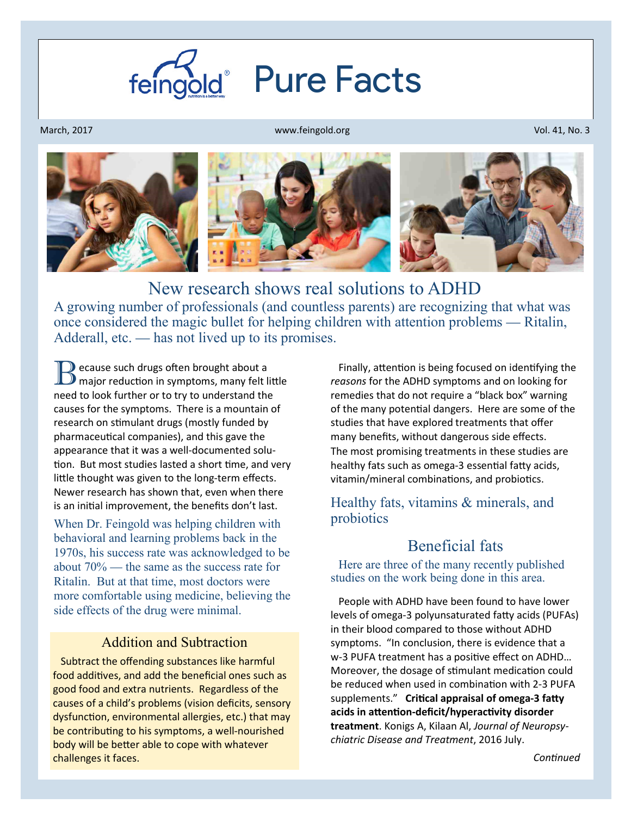

March, 2017

www.feingold.org Vol. 41, No. 3



New research shows real solutions to ADHD

A growing number of professionals (and countless parents) are recognizing that what was once considered the magic bullet for helping children with attention problems — Ritalin, Adderall, etc. — has not lived up to its promises.

 $\blacksquare$  ecause such drugs often brought about a  $\mathcal P$  major reduction in symptoms, many felt little need to look further or to try to understand the causes for the symptoms. There is a mountain of research on stimulant drugs (mostly funded by pharmaceutical companies), and this gave the appearance that it was a well-documented solu tion. But most studies lasted a short time, and very little thought was given to the long-term effects. Newer research has shown that, even when there is an initial improvement, the benefits don't last.

When Dr. Feingold was helping children with behavioral and learning problems back in the 1970s, his success rate was acknowledged to be about 70% — the same as the success rate for Ritalin. But at that time, most doctors were more comfortable using medicine, believing the side effects of the drug were minimal.

#### Addition and Subtraction

 Subtract the offending substances like harmful food additives, and add the beneficial ones such as good food and extra nutrients. Regardless of the causes of a child's problems (vision deficits, sensory dysfunction, environmental allergies, etc.) that may be contributing to his symptoms, a well-nourished body will be better able to cope with whatever challenges it faces.

Finally, attention is being focused on identifying the *reasons* for the ADHD symptoms and on looking for remedies that do not require a "black box" warning of the many potential dangers. Here are some of the studies that have explored treatments that offer many benefits, without dangerous side effects. The most promising treatments in these studies are healthy fats such as omega-3 essential fatty acids, vitamin/mineral combinations, and probiotics.

### Healthy fats, vitamins & minerals, and probiotics

## Beneficial fats

 Here are three of the many recently published studies on the work being done in this area.

 People with ADHD have been found to have lower levels of omega-3 polyunsaturated fatty acids (PUFAs) in their blood compared to those without ADHD symptoms. "In conclusion, there is evidence that a w-3 PUFA treatment has a positive effect on ADHD... Moreover, the dosage of stimulant medication could be reduced when used in combination with 2-3 PUFA supplements." Critical appraisal of omega-3 fatty acids in attention-deficit/hyperactivity disorder **treatment**. Konigs A, Kilaan Al, *Journal of Neuropsychiatric Disease and Treatment*, 2016 July.

*Connued*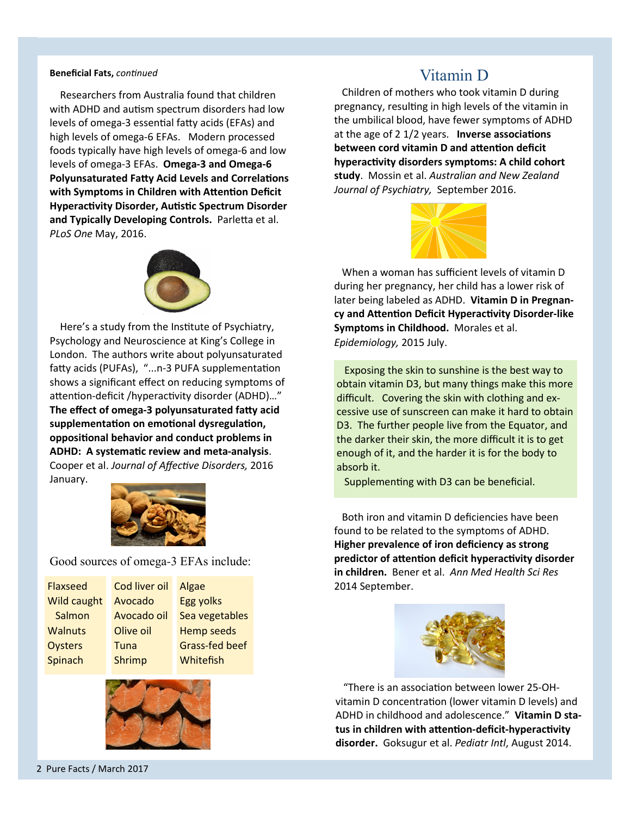#### **Beneficial Fats, continued**

 Researchers from Australia found that children with ADHD and autism spectrum disorders had low levels of omega-3 essential fatty acids (EFAs) and high levels of omega-6 EFAs. Modern processed foods typically have high levels of omega-6 and low levels of omega-3 EFAs. **Omega-3 and Omega-6 Polyunsaturated Fatty Acid Levels and Correlations** with Symptoms in Children with Attention Deficit **Hyperactivity Disorder, Autistic Spectrum Disorder** and Typically Developing Controls. Parletta et al. *PLoS One* May, 2016.



Here's a study from the Institute of Psychiatry, Psychology and Neuroscience at King's College in London. The authors write about polyunsaturated fatty acids (PUFAs), "...n-3 PUFA supplementation shows a significant effect on reducing symptoms of attention-deficit /hyperactivity disorder (ADHD)..." The effect of omega-3 polyunsaturated fatty acid supplementation on emotional dysregulation, **oppositional behavior and conduct problems in** ADHD: A systematic review and meta-analysis. Cooper et al. *Journal of Affective Disorders*, 2016 January.



Good sources of omega-3 EFAs include:

| <b>Flaxseed</b>    | Cod liver oil | Algae                 |
|--------------------|---------------|-----------------------|
| <b>Wild caught</b> | Avocado       | <b>Egg yolks</b>      |
| Salmon             | Avocado oil   | Sea vegetables        |
| <b>Walnuts</b>     | Olive oil     | <b>Hemp seeds</b>     |
| Oysters            | Tuna          | <b>Grass-fed beef</b> |
| Spinach            | Shrimp        | Whitefish             |
|                    |               |                       |



# Vitamin D

 Children of mothers who took vitamin D during pregnancy, resulting in high levels of the vitamin in the umbilical blood, have fewer symptoms of ADHD at the age of 2 1/2 years. **Inverse associations between cord vitamin D and attention deficit** hyperactivity disorders symptoms: A child cohort **study**. Mossin et al. *Australian and New Zealand Journal of Psychiatry,* September 2016.



 When a woman has sufficient levels of vitamin D during her pregnancy, her child has a lower risk of later being labeled as ADHD. **Vitamin D in Pregnan**cy and Attention Deficit Hyperactivity Disorder-like **Symptoms in Childhood.** Morales et al. *Epidemiology,* 2015 July.

 Exposing the skin to sunshine is the best way to obtain vitamin D3, but many things make this more difficult. Covering the skin with clothing and excessive use of sunscreen can make it hard to obtain D3. The further people live from the Equator, and the darker their skin, the more difficult it is to get enough of it, and the harder it is for the body to absorb it.

Supplementing with D3 can be beneficial.

 Both iron and vitamin D deficiencies have been found to be related to the symptoms of ADHD. **Higher prevalence of iron deficiency as strong**  predictor of attention deficit hyperactivity disorder **in children.** Bener et al. *Ann Med Health Sci Res*  2014 September.



"There is an association between lower 25-OHvitamin D concentration (lower vitamin D levels) and ADHD in childhood and adolescence." **Vitamin D sta**tus in children with attention-deficit-hyperactivity **disorder.** Goksugur et al. *Pediatr Intl*, August 2014.